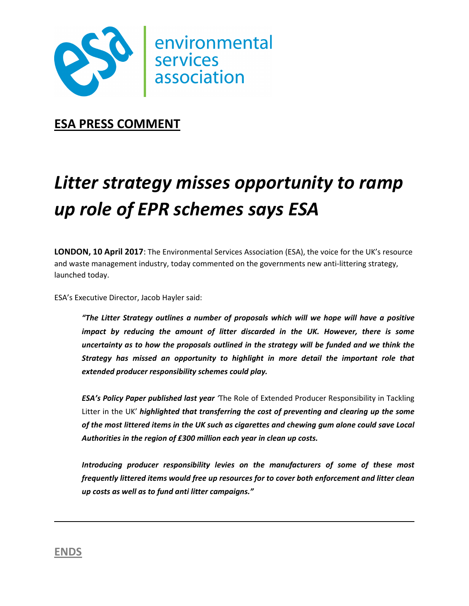

**ESA PRESS COMMENT** 

## *Litter strategy misses opportunity to ramp up role of EPR schemes says ESA*

**LONDON, 10 April 2017**: The Environmental Services Association (ESA), the voice for the UK's resource and waste management industry, today commented on the governments new anti-littering strategy, launched today.

ESA's Executive Director, Jacob Hayler said:

*"The Litter Strategy outlines a number of proposals which will we hope will have a positive impact by reducing the amount of litter discarded in the UK. However, there is some uncertainty as to how the proposals outlined in the strategy will be funded and we think the Strategy has missed an opportunity to highlight in more detail the important role that extended producer responsibility schemes could play.* 

*ESA's Policy Paper published last year '*The Role of Extended Producer Responsibility in Tackling Litter in the UK' *highlighted that transferring the cost of preventing and clearing up the some of the most littered items in the UK such as cigarettes and chewing gum alone could save Local Authorities in the region of £300 million each year in clean up costs.* 

*Introducing producer responsibility levies on the manufacturers of some of these most frequently littered items would free up resources for to cover both enforcement and litter clean up costs as well as to fund anti litter campaigns."* 

**ENDS**